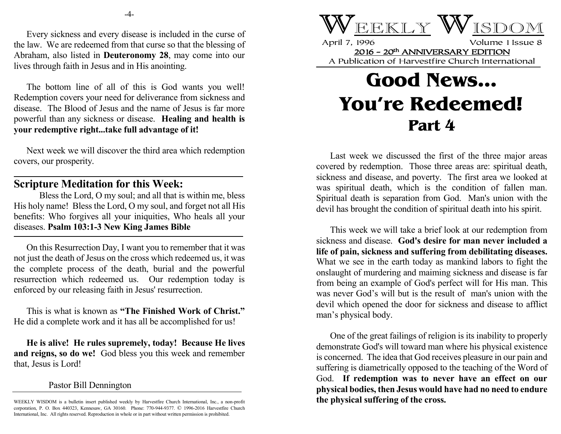Every sickness and every disease is included in the curse of the law. We are redeemed from that curse so that the blessing of Abraham, also listed in **Deuteronomy 28**, may come into our lives through faith in Jesus and in His anointing.

The bottom line of all of this is God wants you well! Redemption covers your need for deliverance from sickness and disease. The Blood of Jesus and the name of Jesus is far more powerful than any sickness or disease. **Healing and health is your redemptive right...take full advantage of it!**

Next week we will discover the third area which redemption covers, our prosperity.

## **Scripture Meditation for this Week:**

Bless the Lord, O my soul; and all that is within me, bless His holy name! Bless the Lord, O my soul, and forget not all His benefits: Who forgives all your iniquities, Who heals all your diseases. **Psalm 103:1-3 New King James Bible**

On this Resurrection Day, I want you to remember that it was not just the death of Jesus on the cross which redeemed us, it was the complete process of the death, burial and the powerful resurrection which redeemed us. Our redemption today is enforced by our releasing faith in Jesus' resurrection.

This is what is known as **"The Finished Work of Christ."** He did a complete work and it has all be accomplished for us!

**He is alive! He rules supremely, today! Because He lives and reigns, so do we!** God bless you this week and remember that, Jesus is Lord!

## Pastor Bill Dennington



April 7, 1996 Volume 1 Issue 8 2016 - 20th ANNIVERSARY EDITION A Publication of Harvestfire Church International

## **Good News... You're Redeemed! Part 4**

Last week we discussed the first of the three major areas covered by redemption. Those three areas are: spiritual death, sickness and disease, and poverty. The first area we looked at was spiritual death, which is the condition of fallen man. Spiritual death is separation from God. Man's union with the devil has brought the condition of spiritual death into his spirit.

This week we will take a brief look at our redemption from sickness and disease. **God's desire for man never included a life of pain, sickness and suffering from debilitating diseases.** What we see in the earth today as mankind labors to fight the onslaught of murdering and maiming sickness and disease is far from being an example of God's perfect will for His man. This was never God's will but is the result of man's union with the devil which opened the door for sickness and disease to afflict man's physical body.

One of the great failings of religion is its inability to properly demonstrate God's will toward man where his physical existence is concerned. The idea that God receives pleasure in our pain and suffering is diametrically opposed to the teaching of the Word of God. **If redemption was to never have an effect on our physical bodies, then Jesus would have had no need to endure the physical suffering of the cross.**

WEEKLY WISDOM is a bulletin insert published weekly by Harvestfire Church International, Inc., a non-profit corporation, P. O. Box 440323, Kennesaw, GA 30160. Phone: 770-944-9377. © 1996-2016 Harvestfire Church International, Inc. All rights reserved. Reproduction in whole or in part without written permission is prohibited.